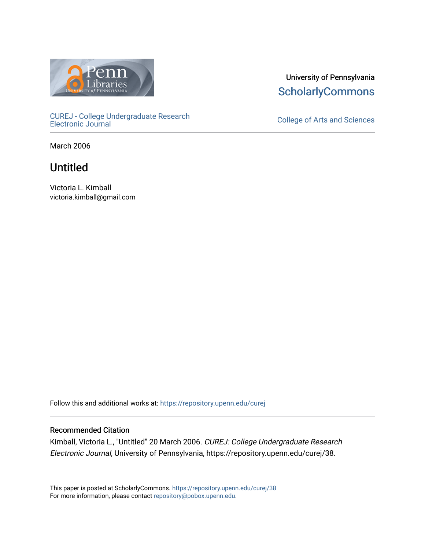

[CUREJ - College Undergraduate Research](https://repository.upenn.edu/curej) 

March 2006

# Untitled

Victoria L. Kimball victoria.kimball@gmail.com

Follow this and additional works at: [https://repository.upenn.edu/curej](https://repository.upenn.edu/curej?utm_source=repository.upenn.edu%2Fcurej%2F38&utm_medium=PDF&utm_campaign=PDFCoverPages)

## Recommended Citation

Kimball, Victoria L., "Untitled" 20 March 2006. CUREJ: College Undergraduate Research Electronic Journal, University of Pennsylvania, https://repository.upenn.edu/curej/38.

This paper is posted at ScholarlyCommons.<https://repository.upenn.edu/curej/38> For more information, please contact [repository@pobox.upenn.edu.](mailto:repository@pobox.upenn.edu)

University of Pennsylvania **ScholarlyCommons** 

College of Arts and Sciences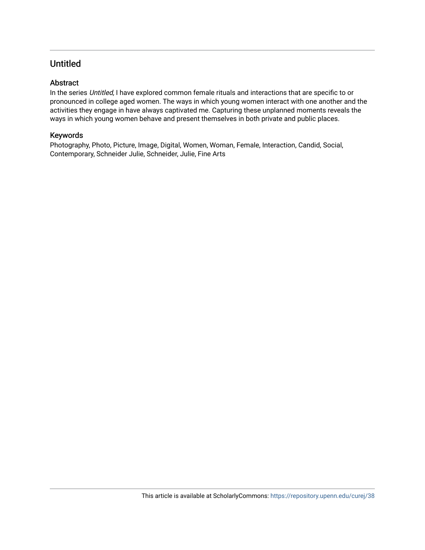## Untitled

#### Abstract

In the series Untitled, I have explored common female rituals and interactions that are specific to or pronounced in college aged women. The ways in which young women interact with one another and the activities they engage in have always captivated me. Capturing these unplanned moments reveals the ways in which young women behave and present themselves in both private and public places.

### Keywords

Photography, Photo, Picture, Image, Digital, Women, Woman, Female, Interaction, Candid, Social, Contemporary, Schneider Julie, Schneider, Julie, Fine Arts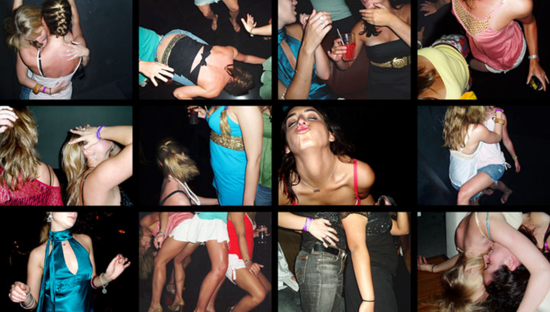